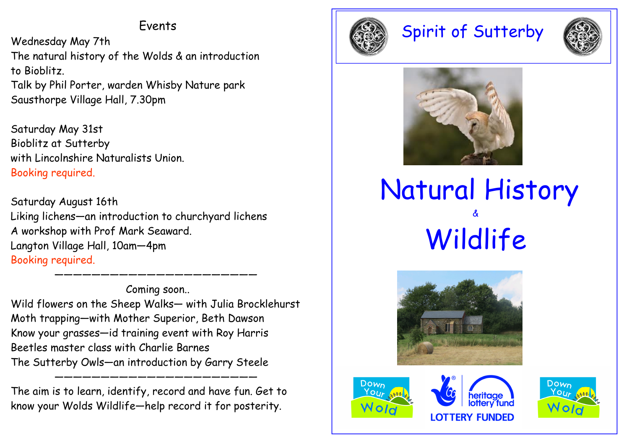### Events

Wednesday May 7th The natural history of the Wolds & an introduction to Bioblitz. Talk by Phil Porter, warden Whisby Nature park Sausthorpe Village Hall, 7.30pm

Saturday May 31st Bioblitz at Sutterby with Lincolnshire Naturalists Union. Booking required.

Saturday August 16th Liking lichens—an introduction to churchyard lichens A workshop with Prof Mark Seaward. Langton Village Hall, 10am—4pmBooking required.

Coming soon.. Wild flowers on the Sheep Walks— with Julia Brocklehurst Moth trapping—with Mother Superior, Beth Dawson Know your grasses—id training event with Roy HarrisBeetles master class with Charlie Barnes The Sutterby Owls—an introduction by Garry Steele

——————————————————————————————

The aim is to learn, identify, record and have fun. Get to know your Wolds Wildlife—help record it for posterity.

————————————————————



# Spirit of Sutterby